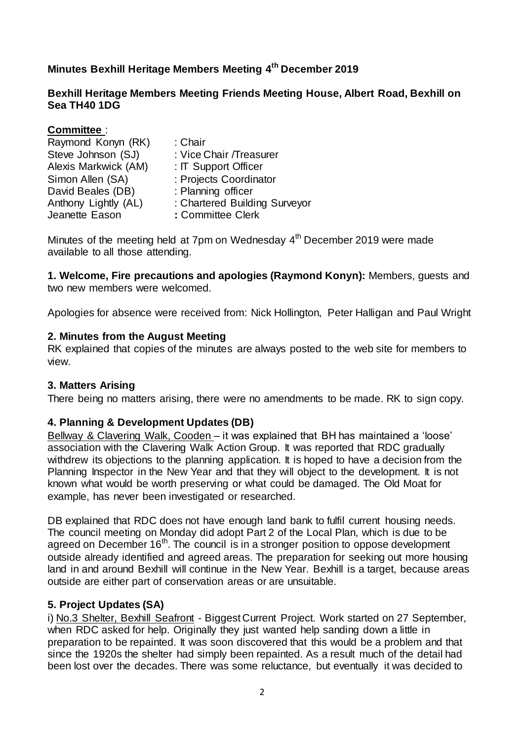# **Minutes Bexhill Heritage Members Meeting 4 th December 2019**

### **Bexhill Heritage Members Meeting Friends Meeting House, Albert Road, Bexhill on Sea TH40 1DG**

| : Chair                       |
|-------------------------------|
| : Vice Chair / Treasurer      |
| : IT Support Officer          |
| : Projects Coordinator        |
| : Planning officer            |
| : Chartered Building Surveyor |
| : Committee Clerk             |
|                               |

Minutes of the meeting held at 7pm on Wednesday 4<sup>th</sup> December 2019 were made available to all those attending.

**1. Welcome, Fire precautions and apologies (Raymond Konyn):** Members, guests and two new members were welcomed.

Apologies for absence were received from: Nick Hollington, Peter Halligan and Paul Wright

### **2. Minutes from the August Meeting**

RK explained that copies of the minutes are always posted to the web site for members to view.

### **3. Matters Arising**

There being no matters arising, there were no amendments to be made. RK to sign copy.

### **4. Planning & Development Updates (DB)**

Bellway & Clavering Walk, Cooden – it was explained that BH has maintained a 'loose' association with the Clavering Walk Action Group. It was reported that RDC gradually withdrew its objections to the planning application. It is hoped to have a decision from the Planning Inspector in the New Year and that they will object to the development. It is not known what would be worth preserving or what could be damaged. The Old Moat for example, has never been investigated or researched.

DB explained that RDC does not have enough land bank to fulfil current housing needs. The council meeting on Monday did adopt Part 2 of the Local Plan, which is due to be agreed on December  $16<sup>th</sup>$ . The council is in a stronger position to oppose development outside already identified and agreed areas. The preparation for seeking out more housing land in and around Bexhill will continue in the New Year. Bexhill is a target, because areas outside are either part of conservation areas or are unsuitable.

### **5. Project Updates (SA)**

i) No.3 Shelter, Bexhill Seafront - Biggest Current Project. Work started on 27 September, when RDC asked for help. Originally they just wanted help sanding down a little in preparation to be repainted. It was soon discovered that this would be a problem and that since the 1920s the shelter had simply been repainted. As a result much of the detail had been lost over the decades. There was some reluctance, but eventually it was decided to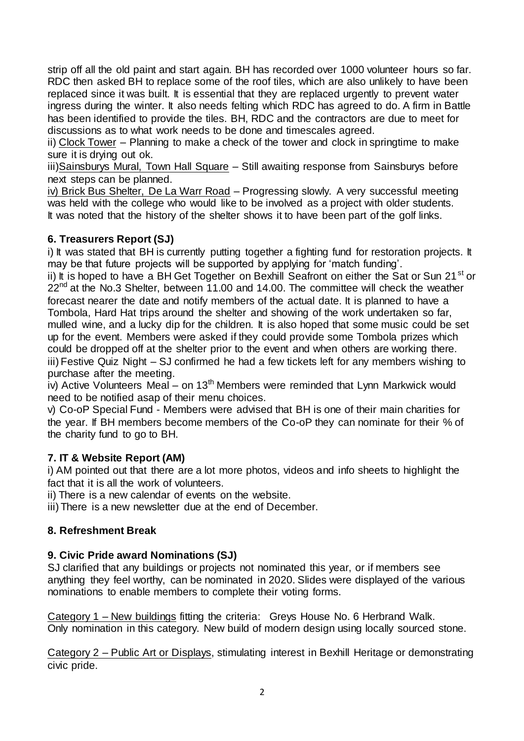strip off all the old paint and start again. BH has recorded over 1000 volunteer hours so far. RDC then asked BH to replace some of the roof tiles, which are also unlikely to have been replaced since it was built. It is essential that they are replaced urgently to prevent water ingress during the winter. It also needs felting which RDC has agreed to do. A firm in Battle has been identified to provide the tiles. BH, RDC and the contractors are due to meet for discussions as to what work needs to be done and timescales agreed.

ii) Clock Tower – Planning to make a check of the tower and clock in springtime to make sure it is drying out ok.

iii)Sainsburys Mural, Town Hall Square – Still awaiting response from Sainsburys before next steps can be planned.

iv) Brick Bus Shelter, De La Warr Road – Progressing slowly. A very successful meeting was held with the college who would like to be involved as a project with older students. It was noted that the history of the shelter shows it to have been part of the golf links.

## **6. Treasurers Report (SJ)**

i) It was stated that BH is currently putting together a fighting fund for restoration projects. It may be that future projects will be supported by applying for 'match funding'.

ii) It is hoped to have a BH Get Together on Bexhill Seafront on either the Sat or Sun 21<sup>st</sup> or  $22<sup>nd</sup>$  at the No.3 Shelter, between 11.00 and 14.00. The committee will check the weather forecast nearer the date and notify members of the actual date. It is planned to have a Tombola, Hard Hat trips around the shelter and showing of the work undertaken so far, mulled wine, and a lucky dip for the children. It is also hoped that some music could be set up for the event. Members were asked if they could provide some Tombola prizes which could be dropped off at the shelter prior to the event and when others are working there. iii) Festive Quiz Night – SJ confirmed he had a few tickets left for any members wishing to purchase after the meeting.

iv) Active Volunteers Meal – on  $13<sup>th</sup>$  Members were reminded that Lynn Markwick would need to be notified asap of their menu choices.

v) Co-oP Special Fund - Members were advised that BH is one of their main charities for the year. If BH members become members of the Co-oP they can nominate for their % of the charity fund to go to BH.

## **7. IT & Website Report (AM)**

i) AM pointed out that there are a lot more photos, videos and info sheets to highlight the fact that it is all the work of volunteers.

ii) There is a new calendar of events on the website.

iii) There is a new newsletter due at the end of December.

### **8. Refreshment Break**

### **9. Civic Pride award Nominations (SJ)**

SJ clarified that any buildings or projects not nominated this year, or if members see anything they feel worthy, can be nominated in 2020. Slides were displayed of the various nominations to enable members to complete their voting forms.

Category 1 – New buildings fitting the criteria: Greys House No. 6 Herbrand Walk. Only nomination in this category. New build of modern design using locally sourced stone.

Category 2 – Public Art or Displays, stimulating interest in Bexhill Heritage or demonstrating civic pride.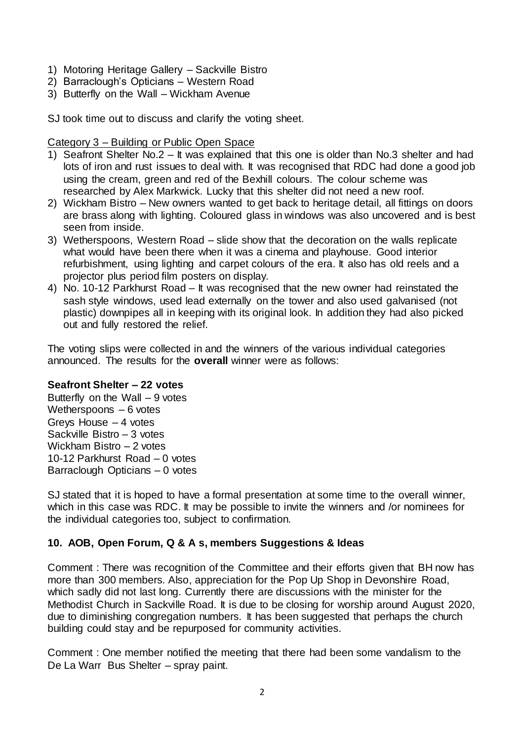- 1) Motoring Heritage Gallery Sackville Bistro
- 2) Barraclough's Opticians Western Road
- 3) Butterfly on the Wall Wickham Avenue

SJ took time out to discuss and clarify the voting sheet.

Category 3 – Building or Public Open Space

- 1) Seafront Shelter No.2 It was explained that this one is older than No.3 shelter and had lots of iron and rust issues to deal with. It was recognised that RDC had done a good job using the cream, green and red of the Bexhill colours. The colour scheme was researched by Alex Markwick. Lucky that this shelter did not need a new roof.
- 2) Wickham Bistro New owners wanted to get back to heritage detail, all fittings on doors are brass along with lighting. Coloured glass in windows was also uncovered and is best seen from inside.
- 3) Wetherspoons, Western Road slide show that the decoration on the walls replicate what would have been there when it was a cinema and playhouse. Good interior refurbishment, using lighting and carpet colours of the era. It also has old reels and a projector plus period film posters on display.
- 4) No. 10-12 Parkhurst Road It was recognised that the new owner had reinstated the sash style windows, used lead externally on the tower and also used galvanised (not plastic) downpipes all in keeping with its original look. In addition they had also picked out and fully restored the relief.

The voting slips were collected in and the winners of the various individual categories announced. The results for the **overall** winner were as follows:

## **Seafront Shelter – 22 votes**

Butterfly on the Wall  $-9$  votes Wetherspoons – 6 votes Greys House – 4 votes Sackville Bistro – 3 votes Wickham Bistro – 2 votes 10-12 Parkhurst Road – 0 votes Barraclough Opticians – 0 votes

SJ stated that it is hoped to have a formal presentation at some time to the overall winner, which in this case was RDC. It may be possible to invite the winners and /or nominees for the individual categories too, subject to confirmation.

## **10. AOB, Open Forum, Q & A s, members Suggestions & Ideas**

Comment : There was recognition of the Committee and their efforts given that BH now has more than 300 members. Also, appreciation for the Pop Up Shop in Devonshire Road, which sadly did not last long. Currently there are discussions with the minister for the Methodist Church in Sackville Road. It is due to be closing for worship around August 2020, due to diminishing congregation numbers. It has been suggested that perhaps the church building could stay and be repurposed for community activities.

Comment : One member notified the meeting that there had been some vandalism to the De La Warr Bus Shelter – spray paint.